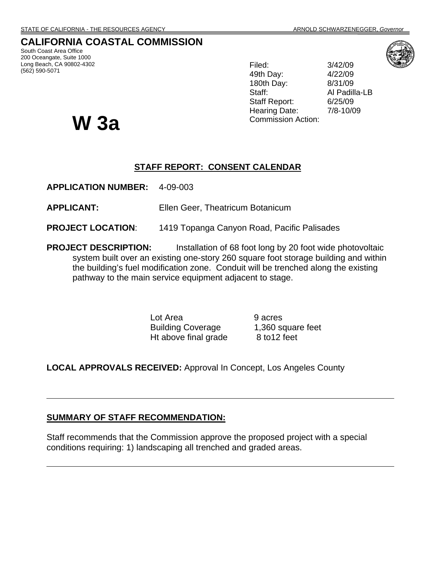# **CALIFORNIA COASTAL COMMISSION**

South Coast Area Office 200 Oceangate, Suite 1000 Long Beach, CA 90802-4302 (562) 590-5071

Filed: 3/42/09 49th Day: 4/22/09 180th Day: 8/31/09 Staff: Al Padilla-LB Staff Report: 6/25/09 Hearing Date: 7/8-10/09



W 3a Commission Action:

#### **STAFF REPORT: CONSENT CALENDAR**

**APPLICATION NUMBER:** 4-09-003

**APPLICANT:** Ellen Geer, Theatricum Botanicum

**PROJECT LOCATION**: 1419 Topanga Canyon Road, Pacific Palisades

**PROJECT DESCRIPTION:** Installation of 68 foot long by 20 foot wide photovoltaic system built over an existing one-story 260 square foot storage building and within the building's fuel modification zone. Conduit will be trenched along the existing pathway to the main service equipment adjacent to stage.

> Lot Area 9 acres Building Coverage 1,360 square feet Ht above final grade 8 to 12 feet

**LOCAL APPROVALS RECEIVED:** Approval In Concept, Los Angeles County

#### **SUMMARY OF STAFF RECOMMENDATION:**

Staff recommends that the Commission approve the proposed project with a special conditions requiring: 1) landscaping all trenched and graded areas.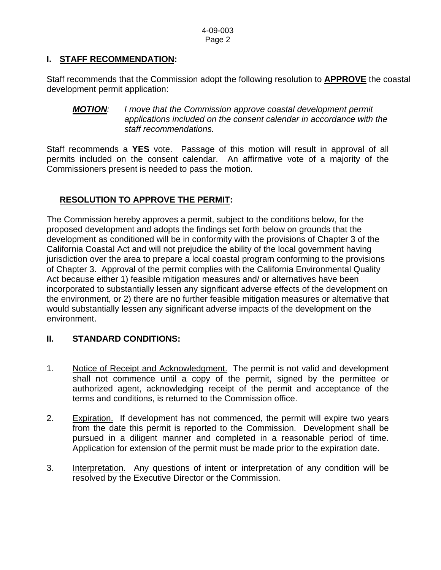# **I. STAFF RECOMMENDATION:**

Staff recommends that the Commission adopt the following resolution to **APPROVE** the coastal development permit application:

*MOTION: I move that the Commission approve coastal development permit applications included on the consent calendar in accordance with the staff recommendations.* 

Staff recommends a **YES** vote. Passage of this motion will result in approval of all permits included on the consent calendar. An affirmative vote of a majority of the Commissioners present is needed to pass the motion.

# **RESOLUTION TO APPROVE THE PERMIT:**

The Commission hereby approves a permit, subject to the conditions below, for the proposed development and adopts the findings set forth below on grounds that the development as conditioned will be in conformity with the provisions of Chapter 3 of the California Coastal Act and will not prejudice the ability of the local government having jurisdiction over the area to prepare a local coastal program conforming to the provisions of Chapter 3. Approval of the permit complies with the California Environmental Quality Act because either 1) feasible mitigation measures and/ or alternatives have been incorporated to substantially lessen any significant adverse effects of the development on the environment, or 2) there are no further feasible mitigation measures or alternative that would substantially lessen any significant adverse impacts of the development on the environment.

## **II. STANDARD CONDITIONS:**

- 1. Notice of Receipt and Acknowledgment. The permit is not valid and development shall not commence until a copy of the permit, signed by the permittee or authorized agent, acknowledging receipt of the permit and acceptance of the terms and conditions, is returned to the Commission office.
- 2. Expiration. If development has not commenced, the permit will expire two years from the date this permit is reported to the Commission. Development shall be pursued in a diligent manner and completed in a reasonable period of time. Application for extension of the permit must be made prior to the expiration date.
- 3. Interpretation. Any questions of intent or interpretation of any condition will be resolved by the Executive Director or the Commission.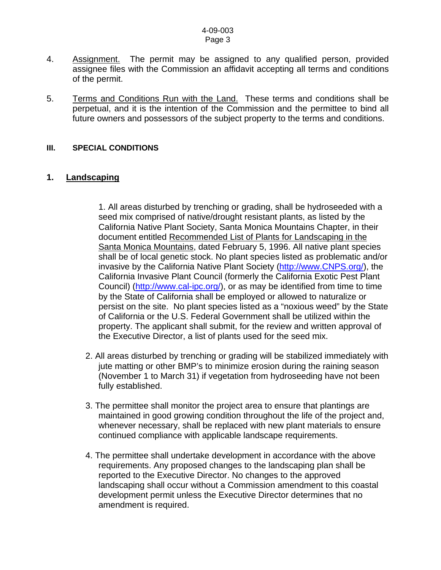- 4. Assignment. The permit may be assigned to any qualified person, provided assignee files with the Commission an affidavit accepting all terms and conditions of the permit.
- 5. Terms and Conditions Run with the Land. These terms and conditions shall be perpetual, and it is the intention of the Commission and the permittee to bind all future owners and possessors of the subject property to the terms and conditions.

#### **III. SPECIAL CONDITIONS**

#### **1. Landscaping**

 1. All areas disturbed by trenching or grading, shall be hydroseeded with a seed mix comprised of native/drought resistant plants, as listed by the California Native Plant Society, Santa Monica Mountains Chapter, in their document entitled Recommended List of Plants for Landscaping in the Santa Monica Mountains, dated February 5, 1996. All native plant species shall be of local genetic stock. No plant species listed as problematic and/or invasive by the California Native Plant Society [\(http://www.CNPS.org/\)](http://www.cnps.org/), the California Invasive Plant Council (formerly the California Exotic Pest Plant Council) [\(http://www.cal-ipc.org/](http://www.cal-ipc.org/)), or as may be identified from time to time by the State of California shall be employed or allowed to naturalize or persist on the site. No plant species listed as a "noxious weed" by the State of California or the U.S. Federal Government shall be utilized within the property. The applicant shall submit, for the review and written approval of the Executive Director, a list of plants used for the seed mix.

- 2. All areas disturbed by trenching or grading will be stabilized immediately with jute matting or other BMP's to minimize erosion during the raining season (November 1 to March 31) if vegetation from hydroseeding have not been fully established.
- 3. The permittee shall monitor the project area to ensure that plantings are maintained in good growing condition throughout the life of the project and, whenever necessary, shall be replaced with new plant materials to ensure continued compliance with applicable landscape requirements.
- 4. The permittee shall undertake development in accordance with the above requirements. Any proposed changes to the landscaping plan shall be reported to the Executive Director. No changes to the approved landscaping shall occur without a Commission amendment to this coastal development permit unless the Executive Director determines that no amendment is required.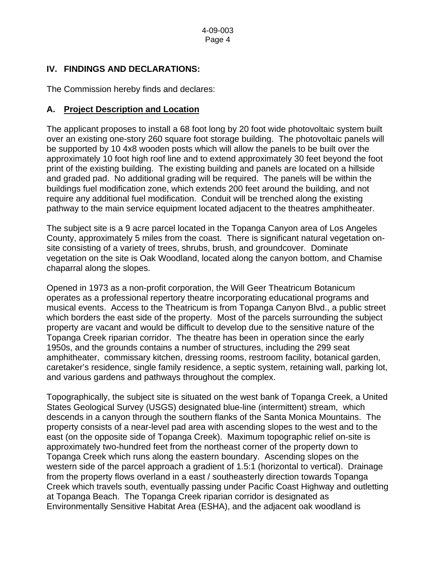# **IV. FINDINGS AND DECLARATIONS:**

The Commission hereby finds and declares:

## **A. Project Description and Location**

The applicant proposes to install a 68 foot long by 20 foot wide photovoltaic system built over an existing one-story 260 square foot storage building. The photovoltaic panels will be supported by 10 4x8 wooden posts which will allow the panels to be built over the approximately 10 foot high roof line and to extend approximately 30 feet beyond the foot print of the existing building. The existing building and panels are located on a hillside and graded pad. No additional grading will be required. The panels will be within the buildings fuel modification zone, which extends 200 feet around the building, and not require any additional fuel modification. Conduit will be trenched along the existing pathway to the main service equipment located adjacent to the theatres amphitheater.

The subject site is a 9 acre parcel located in the Topanga Canyon area of Los Angeles County, approximately 5 miles from the coast. There is significant natural vegetation onsite consisting of a variety of trees, shrubs, brush, and groundcover. Dominate vegetation on the site is Oak Woodland, located along the canyon bottom, and Chamise chaparral along the slopes.

Opened in 1973 as a non-profit corporation, the Will Geer Theatricum Botanicum operates as a professional repertory theatre incorporating educational programs and musical events. Access to the Theatricum is from Topanga Canyon Blvd., a public street which borders the east side of the property. Most of the parcels surrounding the subject property are vacant and would be difficult to develop due to the sensitive nature of the Topanga Creek riparian corridor. The theatre has been in operation since the early 1950s, and the grounds contains a number of structures, including the 299 seat amphitheater, commissary kitchen, dressing rooms, restroom facility, botanical garden, caretaker's residence, single family residence, a septic system, retaining wall, parking lot, and various gardens and pathways throughout the complex.

Topographically, the subject site is situated on the west bank of Topanga Creek, a United States Geological Survey (USGS) designated blue-line (intermittent) stream, which descends in a canyon through the southern flanks of the Santa Monica Mountains. The property consists of a near-level pad area with ascending slopes to the west and to the east (on the opposite side of Topanga Creek). Maximum topographic relief on-site is approximately two-hundred feet from the northeast corner of the property down to Topanga Creek which runs along the eastern boundary. Ascending slopes on the western side of the parcel approach a gradient of 1.5:1 (horizontal to vertical). Drainage from the property flows overland in a east / southeasterly direction towards Topanga Creek which travels south, eventually passing under Pacific Coast Highway and outletting at Topanga Beach. The Topanga Creek riparian corridor is designated as Environmentally Sensitive Habitat Area (ESHA), and the adjacent oak woodland is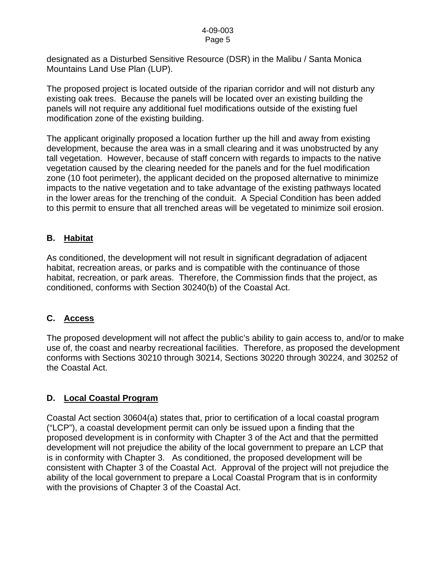#### 4-09-003 Page 5

designated as a Disturbed Sensitive Resource (DSR) in the Malibu / Santa Monica Mountains Land Use Plan (LUP).

The proposed project is located outside of the riparian corridor and will not disturb any existing oak trees. Because the panels will be located over an existing building the panels will not require any additional fuel modifications outside of the existing fuel modification zone of the existing building.

The applicant originally proposed a location further up the hill and away from existing development, because the area was in a small clearing and it was unobstructed by any tall vegetation. However, because of staff concern with regards to impacts to the native vegetation caused by the clearing needed for the panels and for the fuel modification zone (10 foot perimeter), the applicant decided on the proposed alternative to minimize impacts to the native vegetation and to take advantage of the existing pathways located in the lower areas for the trenching of the conduit. A Special Condition has been added to this permit to ensure that all trenched areas will be vegetated to minimize soil erosion.

### **B. Habitat**

As conditioned, the development will not result in significant degradation of adjacent habitat, recreation areas, or parks and is compatible with the continuance of those habitat, recreation, or park areas. Therefore, the Commission finds that the project, as conditioned, conforms with Section 30240(b) of the Coastal Act.

#### **C. Access**

The proposed development will not affect the public's ability to gain access to, and/or to make use of, the coast and nearby recreational facilities. Therefore, as proposed the development conforms with Sections 30210 through 30214, Sections 30220 through 30224, and 30252 of the Coastal Act.

#### **D. Local Coastal Program**

Coastal Act section 30604(a) states that, prior to certification of a local coastal program ("LCP"), a coastal development permit can only be issued upon a finding that the proposed development is in conformity with Chapter 3 of the Act and that the permitted development will not prejudice the ability of the local government to prepare an LCP that is in conformity with Chapter 3. As conditioned, the proposed development will be consistent with Chapter 3 of the Coastal Act. Approval of the project will not prejudice the ability of the local government to prepare a Local Coastal Program that is in conformity with the provisions of Chapter 3 of the Coastal Act.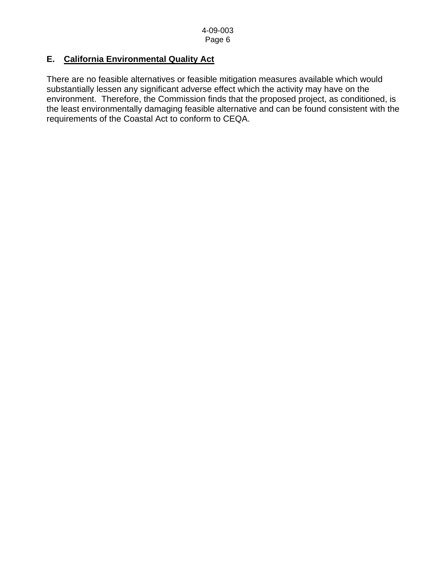# **E. California Environmental Quality Act**

There are no feasible alternatives or feasible mitigation measures available which would substantially lessen any significant adverse effect which the activity may have on the environment. Therefore, the Commission finds that the proposed project, as conditioned, is the least environmentally damaging feasible alternative and can be found consistent with the requirements of the Coastal Act to conform to CEQA.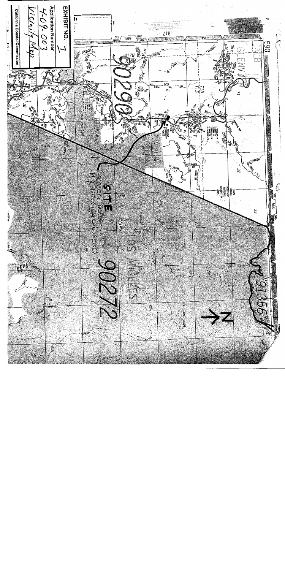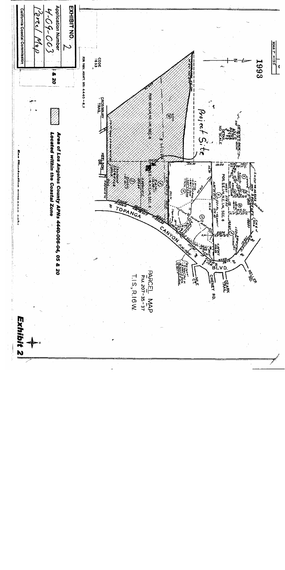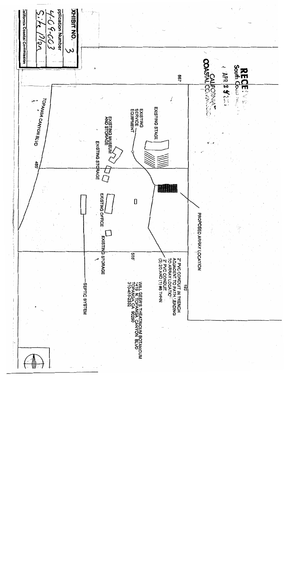